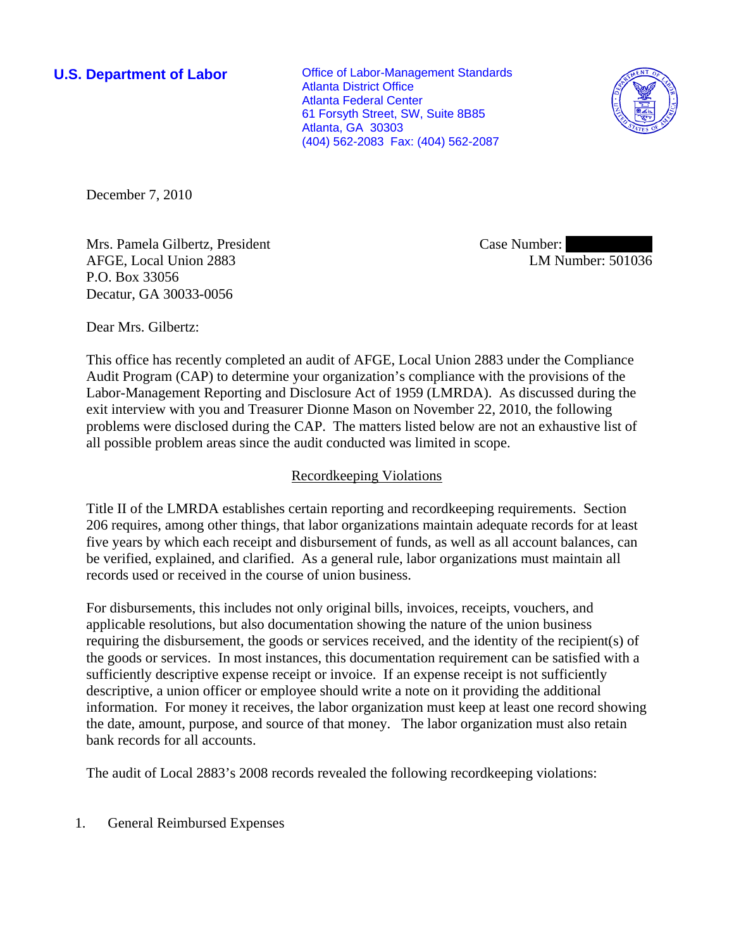**U.S. Department of Labor Conservative Conservative Conservative Conservative Conservative Conservative Conservative Conservative Conservative Conservative Conservative Conservative Conservative Conservative Conservative** Atlanta District Office Atlanta Federal Center 61 Forsyth Street, SW, Suite 8B85 Atlanta, GA 30303 (404) 562-2083 Fax: (404) 562-2087



December 7, 2010

Mrs. Pamela Gilbertz, President AFGE, Local Union 2883 P.O. Box 33056 Decatur, GA 30033-0056

Case Number: LM Number: 501036

Dear Mrs. Gilbertz:

This office has recently completed an audit of AFGE, Local Union 2883 under the Compliance Audit Program (CAP) to determine your organization's compliance with the provisions of the Labor-Management Reporting and Disclosure Act of 1959 (LMRDA). As discussed during the exit interview with you and Treasurer Dionne Mason on November 22, 2010, the following problems were disclosed during the CAP. The matters listed below are not an exhaustive list of all possible problem areas since the audit conducted was limited in scope.

# Recordkeeping Violations

Title II of the LMRDA establishes certain reporting and recordkeeping requirements. Section 206 requires, among other things, that labor organizations maintain adequate records for at least five years by which each receipt and disbursement of funds, as well as all account balances, can be verified, explained, and clarified. As a general rule, labor organizations must maintain all records used or received in the course of union business.

For disbursements, this includes not only original bills, invoices, receipts, vouchers, and applicable resolutions, but also documentation showing the nature of the union business requiring the disbursement, the goods or services received, and the identity of the recipient(s) of the goods or services. In most instances, this documentation requirement can be satisfied with a sufficiently descriptive expense receipt or invoice. If an expense receipt is not sufficiently descriptive, a union officer or employee should write a note on it providing the additional information. For money it receives, the labor organization must keep at least one record showing the date, amount, purpose, and source of that money. The labor organization must also retain bank records for all accounts.

The audit of Local 2883's 2008 records revealed the following recordkeeping violations:

1. General Reimbursed Expenses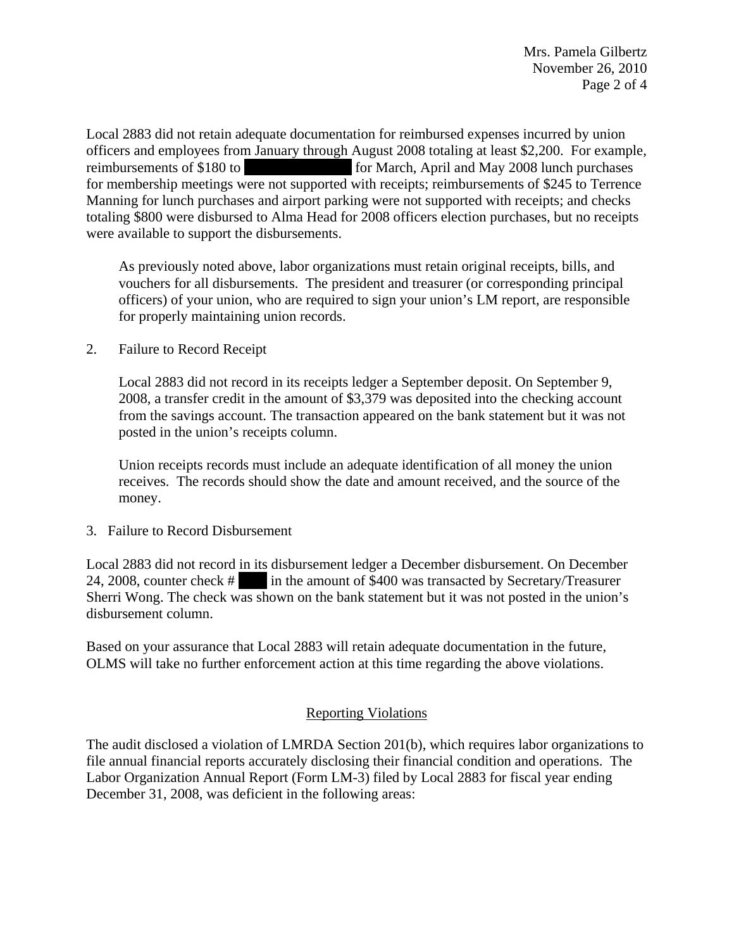Local 2883 did not retain adequate documentation for reimbursed expenses incurred by union officers and employees from January through August 2008 totaling at least \$2,200. For example, reimbursements of \$180 to |||||||||||||||||||| |||||||||||||||| for March, April and May 2008 lunch purchases for membership meetings were not supported with receipts; reimbursements of \$245 to Terrence Manning for lunch purchases and airport parking were not supported with receipts; and checks totaling \$800 were disbursed to Alma Head for 2008 officers election purchases, but no receipts were available to support the disbursements.

As previously noted above, labor organizations must retain original receipts, bills, and vouchers for all disbursements. The president and treasurer (or corresponding principal officers) of your union, who are required to sign your union's LM report, are responsible for properly maintaining union records.

2. Failure to Record Receipt

Local 2883 did not record in its receipts ledger a September deposit. On September 9, 2008, a transfer credit in the amount of \$3,379 was deposited into the checking account from the savings account. The transaction appeared on the bank statement but it was not posted in the union's receipts column.

Union receipts records must include an adequate identification of all money the union receives. The records should show the date and amount received, and the source of the money.

3. Failure to Record Disbursement

Local 2883 did not record in its disbursement ledger a December disbursement. On December 24, 2008, counter check # |||||||||| in the amount of \$400 was transacted by Secretary/Treasurer Sherri Wong. The check was shown on the bank statement but it was not posted in the union's disbursement column.

Based on your assurance that Local 2883 will retain adequate documentation in the future, OLMS will take no further enforcement action at this time regarding the above violations.

# Reporting Violations

The audit disclosed a violation of LMRDA Section 201(b), which requires labor organizations to file annual financial reports accurately disclosing their financial condition and operations. The Labor Organization Annual Report (Form LM-3) filed by Local 2883 for fiscal year ending December 31, 2008, was deficient in the following areas: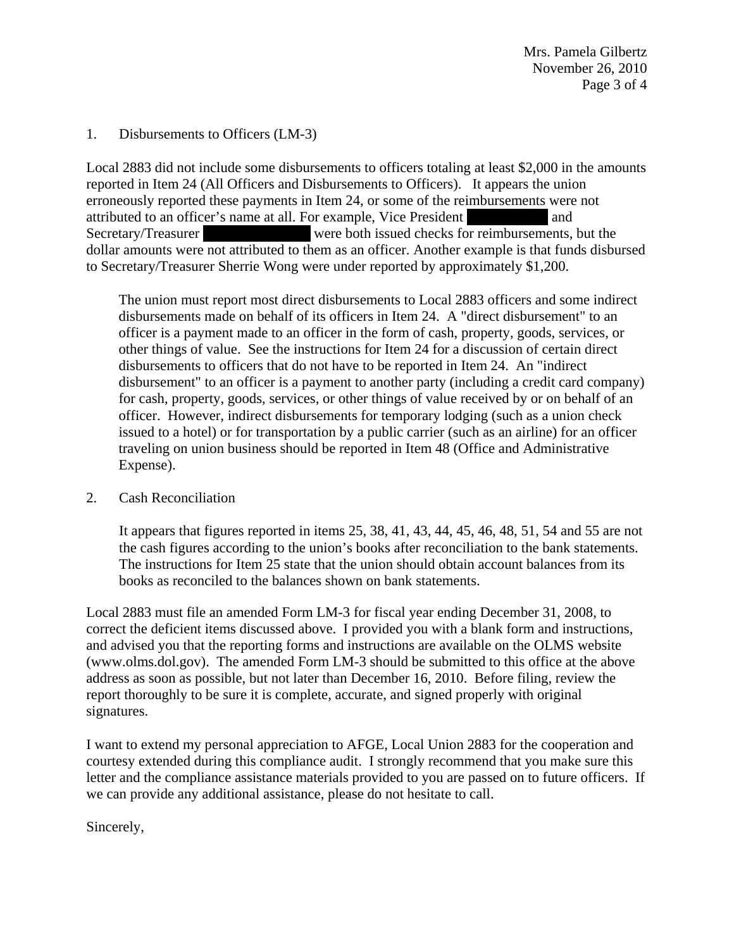# 1. Disbursements to Officers (LM-3)

Local 2883 did not include some disbursements to officers totaling at least \$2,000 in the amounts reported in Item 24 (All Officers and Disbursements to Officers). It appears the union erroneously reported these payments in Item 24, or some of the reimbursements were not attributed to an officer's name at all. For example, Vice President and and Secretary/Treasurer were both issued checks for reimbursements, but the dollar amounts were not attributed to them as an officer. Another example is that funds disbursed to Secretary/Treasurer Sherrie Wong were under reported by approximately \$1,200.

The union must report most direct disbursements to Local 2883 officers and some indirect disbursements made on behalf of its officers in Item 24. A "direct disbursement" to an officer is a payment made to an officer in the form of cash, property, goods, services, or other things of value. See the instructions for Item 24 for a discussion of certain direct disbursements to officers that do not have to be reported in Item 24. An "indirect disbursement" to an officer is a payment to another party (including a credit card company) for cash, property, goods, services, or other things of value received by or on behalf of an officer. However, indirect disbursements for temporary lodging (such as a union check issued to a hotel) or for transportation by a public carrier (such as an airline) for an officer traveling on union business should be reported in Item 48 (Office and Administrative Expense).

# 2. Cash Reconciliation

It appears that figures reported in items 25, 38, 41, 43, 44, 45, 46, 48, 51, 54 and 55 are not the cash figures according to the union's books after reconciliation to the bank statements. The instructions for Item 25 state that the union should obtain account balances from its books as reconciled to the balances shown on bank statements.

Local 2883 must file an amended Form LM-3 for fiscal year ending December 31, 2008, to correct the deficient items discussed above. I provided you with a blank form and instructions, and advised you that the reporting forms and instructions are available on the OLMS website (www.olms.dol.gov). The amended Form LM-3 should be submitted to this office at the above address as soon as possible, but not later than December 16, 2010. Before filing, review the report thoroughly to be sure it is complete, accurate, and signed properly with original signatures.

I want to extend my personal appreciation to AFGE, Local Union 2883 for the cooperation and courtesy extended during this compliance audit. I strongly recommend that you make sure this letter and the compliance assistance materials provided to you are passed on to future officers. If we can provide any additional assistance, please do not hesitate to call.

Sincerely,